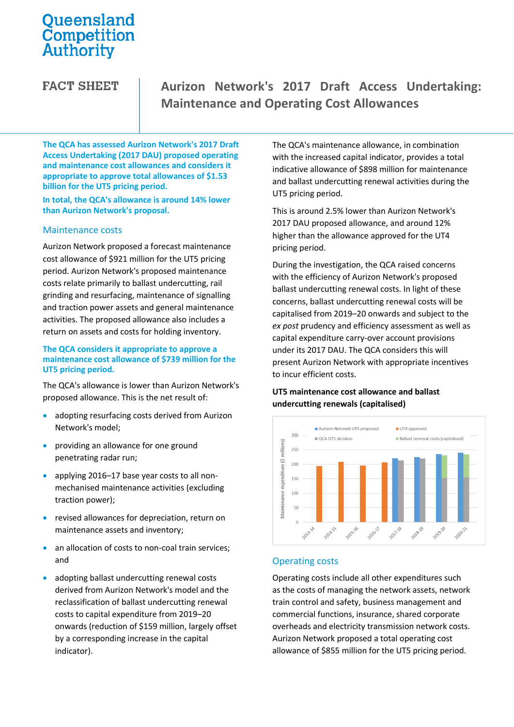# Queensland Competition Authority

**FACT SHEET** 

# **Aurizon Network's 2017 Draft Access Undertaking: Maintenance and Operating Cost Allowances**

**The QCA has assessed Aurizon Network's 2017 Draft Access Undertaking (2017 DAU) proposed operating and maintenance cost allowances and considers it appropriate to approve total allowances of \$1.53 billion for the UT5 pricing period.** 

**In total, the QCA's allowance is around 14% lower than Aurizon Network's proposal.**

### Maintenance costs

Aurizon Network proposed a forecast maintenance cost allowance of \$921 million for the UT5 pricing period. Aurizon Network's proposed maintenance costs relate primarily to ballast undercutting, rail grinding and resurfacing, maintenance of signalling and traction power assets and general maintenance activities. The proposed allowance also includes a return on assets and costs for holding inventory.

### **The QCA considers it appropriate to approve a maintenance cost allowance of \$739 million for the UT5 pricing period.**

The QCA's allowance is lower than Aurizon Network's proposed allowance. This is the net result of:

- adopting resurfacing costs derived from Aurizon Network's model;
- **•** providing an allowance for one ground penetrating radar run;
- applying 2016–17 base year costs to all nonmechanised maintenance activities (excluding traction power);
- revised allowances for depreciation, return on maintenance assets and inventory;
- an allocation of costs to non-coal train services; and
- adopting ballast undercutting renewal costs derived from Aurizon Network's model and the reclassification of ballast undercutting renewal costs to capital expenditure from 2019–20 onwards (reduction of \$159 million, largely offset by a corresponding increase in the capital indicator).

The QCA's maintenance allowance, in combination with the increased capital indicator, provides a total indicative allowance of \$898 million for maintenance and ballast undercutting renewal activities during the UT5 pricing period.

This is around 2.5% lower than Aurizon Network's 2017 DAU proposed allowance, and around 12% higher than the allowance approved for the UT4 pricing period.

During the investigation, the QCA raised concerns with the efficiency of Aurizon Network's proposed ballast undercutting renewal costs. In light of these concerns, ballast undercutting renewal costs will be capitalised from 2019–20 onwards and subject to the *ex post* prudency and efficiency assessment as well as capital expenditure carry-over account provisions under its 2017 DAU. The QCA considers this will present Aurizon Network with appropriate incentives to incur efficient costs.

# **UT5 maintenance cost allowance and ballast undercutting renewals (capitalised)**



# Operating costs

Operating costs include all other expenditures such as the costs of managing the network assets, network train control and safety, business management and commercial functions, insurance, shared corporate overheads and electricity transmission network costs. Aurizon Network proposed a total operating cost allowance of \$855 million for the UT5 pricing period.